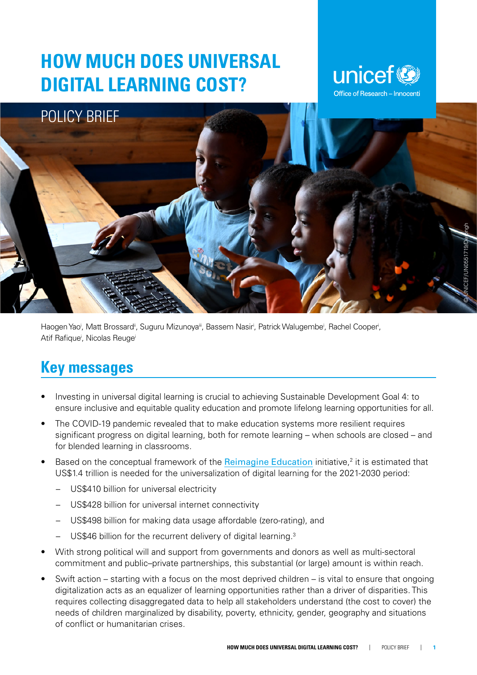# **HOW MUCH DOES UNIVERSAL DIGITAL LEARNING COST?**





Haogen Yao', Matt Brossard", Suguru Mizunoya'", Bassem Nasir', Patrick Walugembe', Rachel Cooper', Atif Rafique<sup>i</sup>, Nicolas Reugei

### **Key messages**

- Investing in universal digital learning is crucial to achieving Sustainable Development Goal 4: to ensure inclusive and equitable quality education and promote lifelong learning opportunities for all.
- The COVID-19 pandemic revealed that to make education systems more resilient requires significant progress on digital learning, both for remote learning – when schools are closed – and for blended learning in classrooms.
- Based on the conceptual framework of the **[Reimagine Education](https://www.unicef.org/media/87286/file/Reimagine Education Brochure-2020.pdf)** initiative,<sup>2</sup> it is estimated that US\$1.4 trillion is needed for the universalization of digital learning for the 2021-2030 period:
	- US\$410 billion for universal electricity
	- US\$428 billion for universal internet connectivity
	- US\$498 billion for making data usage affordable (zero-rating), and
	- US\$46 billion for the recurrent delivery of digital learning.<sup>3</sup>
- With strong political will and support from governments and donors as well as multi-sectoral commitment and public–private partnerships, this substantial (or large) amount is within reach.
- Swift action starting with a focus on the most deprived children is vital to ensure that ongoing digitalization acts as an equalizer of learning opportunities rather than a driver of disparities. This requires collecting disaggregated data to help all stakeholders understand (the cost to cover) the needs of children marginalized by disability, poverty, ethnicity, gender, geography and situations of conflict or humanitarian crises.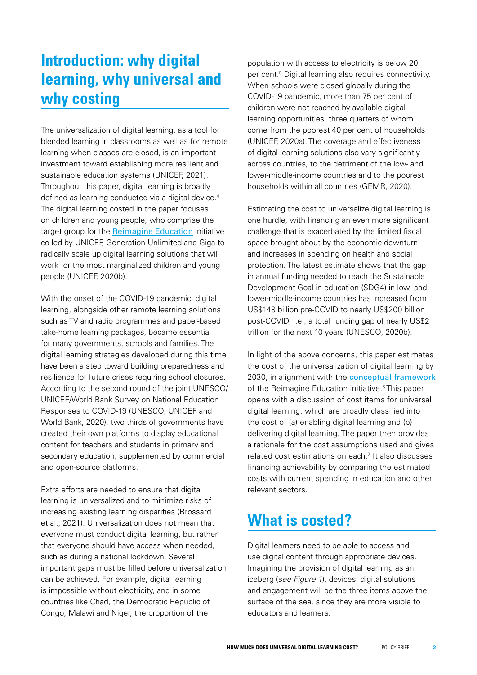## **Introduction: why digital learning, why universal and why costing**

The universalization of digital learning, as a tool for blended learning in classrooms as well as for remote learning when classes are closed, is an important investment toward establishing more resilient and sustainable education systems (UNICEF, 2021). Throughout this paper, digital learning is broadly defined as learning conducted via a digital device.<sup>4</sup> The digital learning costed in the paper focuses on children and young people, who comprise the target group for the [Reimagine Education](https://www.unicef.org/reimagine/education) initiative co-led by UNICEF, Generation Unlimited and Giga to radically scale up digital learning solutions that will work for the most marginalized children and young people (UNICEF, 2020b).

With the onset of the COVID-19 pandemic, digital learning, alongside other remote learning solutions such as TV and radio programmes and paper-based take-home learning packages, became essential for many governments, schools and families. The digital learning strategies developed during this time have been a step toward building preparedness and resilience for future crises requiring school closures. According to the second round of the joint UNESCO/ UNICEF/World Bank Survey on National Education Responses to COVID-19 (UNESCO, UNICEF and World Bank, 2020), two thirds of governments have created their own platforms to display educational content for teachers and students in primary and secondary education, supplemented by commercial and open-source platforms.

Extra efforts are needed to ensure that digital learning is universalized and to minimize risks of increasing existing learning disparities (Brossard et al., 2021). Universalization does not mean that everyone must conduct digital learning, but rather that everyone should have access when needed, such as during a national lockdown. Several important gaps must be filled before universalization can be achieved. For example, digital learning is impossible without electricity, and in some countries like Chad, the Democratic Republic of Congo, Malawi and Niger, the proportion of the

population with access to electricity is below 20 per cent.<sup>5</sup> Digital learning also requires connectivity. When schools were closed globally during the COVID-19 pandemic, more than 75 per cent of children were not reached by available digital learning opportunities, three quarters of whom come from the poorest 40 per cent of households (UNICEF, 2020a). The coverage and effectiveness of digital learning solutions also vary significantly across countries, to the detriment of the low- and lower-middle-income countries and to the poorest households within all countries (GEMR, 2020).

Estimating the cost to universalize digital learning is one hurdle, with financing an even more significant challenge that is exacerbated by the limited fiscal space brought about by the economic downturn and increases in spending on health and social protection. The latest estimate shows that the gap in annual funding needed to reach the Sustainable Development Goal in education (SDG4) in low- and lower-middle-income countries has increased from US\$148 billion pre-COVID to nearly US\$200 billion post-COVID, i.e., a total funding gap of nearly US\$2 trillion for the next 10 years (UNESCO, 2020b).

In light of the above concerns, this paper estimates the cost of the universalization of digital learning by 2030, in alignment with the [conceptual framework](https://www.unicef.org/media/87286/file/Reimagine Education Brochure-2020.pdf) of the Reimagine Education initiative.<sup>6</sup> This paper opens with a discussion of cost items for universal digital learning, which are broadly classified into the cost of (a) enabling digital learning and (b) delivering digital learning. The paper then provides a rationale for the cost assumptions used and gives related cost estimations on each.7 It also discusses financing achievability by comparing the estimated costs with current spending in education and other relevant sectors.

### **What is costed?**

Digital learners need to be able to access and use digital content through appropriate devices. Imagining the provision of digital learning as an iceberg (*see Figure 1*), devices, digital solutions and engagement will be the three items above the surface of the sea, since they are more visible to educators and learners.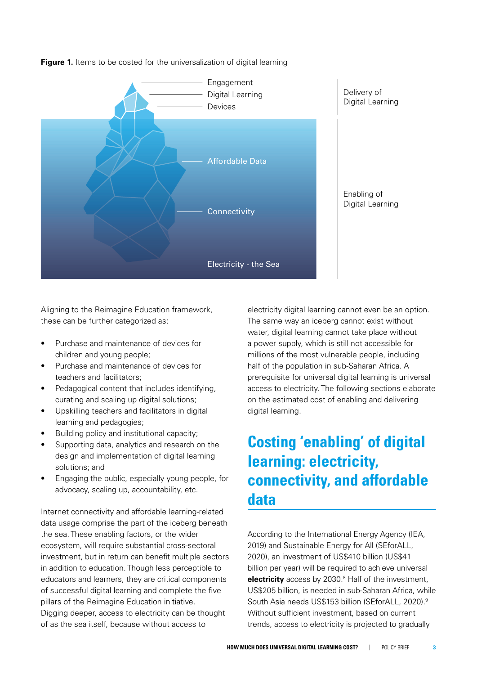

**Figure 1.** Items to be costed for the universalization of digital learning

Aligning to the Reimagine Education framework, these can be further categorized as:

- Purchase and maintenance of devices for children and young people;
- Purchase and maintenance of devices for teachers and facilitators;
- Pedagogical content that includes identifying, curating and scaling up digital solutions;
- Upskilling teachers and facilitators in digital learning and pedagogies;
- Building policy and institutional capacity;
- Supporting data, analytics and research on the design and implementation of digital learning solutions; and
- Engaging the public, especially young people, for advocacy, scaling up, accountability, etc.

Internet connectivity and affordable learning-related data usage comprise the part of the iceberg beneath the sea. These enabling factors, or the wider ecosystem, will require substantial cross-sectoral investment, but in return can benefit multiple sectors in addition to education. Though less perceptible to educators and learners, they are critical components of successful digital learning and complete the five pillars of the Reimagine Education initiative. Digging deeper, access to electricity can be thought of as the sea itself, because without access to

electricity digital learning cannot even be an option. The same way an iceberg cannot exist without water, digital learning cannot take place without a power supply, which is still not accessible for millions of the most vulnerable people, including half of the population in sub-Saharan Africa. A prerequisite for universal digital learning is universal access to electricity. The following sections elaborate on the estimated cost of enabling and delivering digital learning.

## **Costing 'enabling' of digital learning: electricity, connectivity, and affordable data**

According to the International Energy Agency (IEA, 2019) and Sustainable Energy for All (SEforALL, 2020), an investment of US\$410 billion (US\$41 billion per year) will be required to achieve universal **electricity** access by 2030.<sup>8</sup> Half of the investment, US\$205 billion, is needed in sub-Saharan Africa, while South Asia needs US\$153 billion (SEforALL, 2020).9 Without sufficient investment, based on current trends, access to electricity is projected to gradually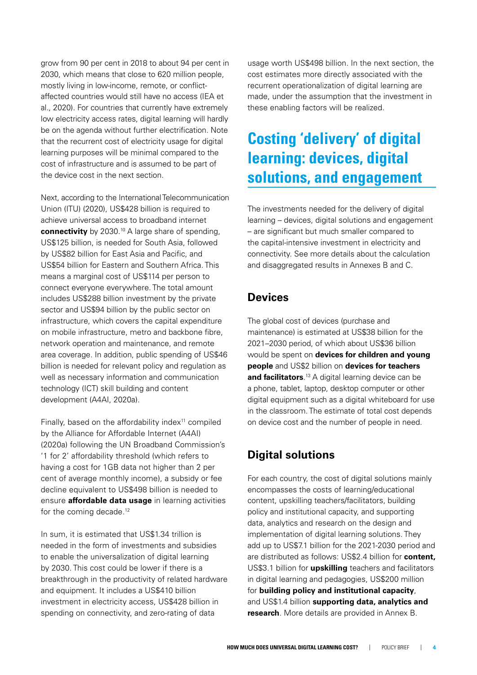grow from 90 per cent in 2018 to about 94 per cent in 2030, which means that close to 620 million people, mostly living in low-income, remote, or conflictaffected countries would still have no access (IEA et al., 2020). For countries that currently have extremely low electricity access rates, digital learning will hardly be on the agenda without further electrification. Note that the recurrent cost of electricity usage for digital learning purposes will be minimal compared to the cost of infrastructure and is assumed to be part of the device cost in the next section.

Next, according to the International Telecommunication Union (ITU) (2020), US\$428 billion is required to achieve universal access to broadband internet **connectivity** by 2030.<sup>10</sup> A large share of spending, US\$125 billion, is needed for South Asia, followed by US\$82 billion for East Asia and Pacific, and US\$54 billion for Eastern and Southern Africa. This means a marginal cost of US\$114 per person to connect everyone everywhere. The total amount includes US\$288 billion investment by the private sector and US\$94 billion by the public sector on infrastructure, which covers the capital expenditure on mobile infrastructure, metro and backbone fibre, network operation and maintenance, and remote area coverage. In addition, public spending of US\$46 billion is needed for relevant policy and regulation as well as necessary information and communication technology (ICT) skill building and content development (A4AI, 2020a).

Finally, based on the affordability index $11$  compiled by the Alliance for Affordable Internet (A4AI) (2020a) following the UN Broadband Commission's '1 for 2' affordability threshold (which refers to having a cost for 1GB data not higher than 2 per cent of average monthly income), a subsidy or fee decline equivalent to US\$498 billion is needed to ensure **affordable data usage** in learning activities for the coming decade.<sup>12</sup>

In sum, it is estimated that US\$1.34 trillion is needed in the form of investments and subsidies to enable the universalization of digital learning by 2030. This cost could be lower if there is a breakthrough in the productivity of related hardware and equipment. It includes a US\$410 billion investment in electricity access, US\$428 billion in spending on connectivity, and zero-rating of data

usage worth US\$498 billion. In the next section, the cost estimates more directly associated with the recurrent operationalization of digital learning are made, under the assumption that the investment in these enabling factors will be realized.

## **Costing 'delivery' of digital learning: devices, digital solutions, and engagement**

The investments needed for the delivery of digital learning – devices, digital solutions and engagement – are significant but much smaller compared to the capital-intensive investment in electricity and connectivity. See more details about the calculation and disaggregated results in Annexes B and C.

#### **Devices**

The global cost of devices (purchase and maintenance) is estimated at US\$38 billion for the 2021–2030 period, of which about US\$36 billion would be spent on **devices for children and young people** and US\$2 billion on **devices for teachers and facilitators**. 13 A digital learning device can be a phone, tablet, laptop, desktop computer or other digital equipment such as a digital whiteboard for use in the classroom. The estimate of total cost depends on device cost and the number of people in need.

#### **Digital solutions**

For each country, the cost of digital solutions mainly encompasses the costs of learning/educational content, upskilling teachers/facilitators, building policy and institutional capacity, and supporting data, analytics and research on the design and implementation of digital learning solutions. They add up to US\$7.1 billion for the 2021-2030 period and are distributed as follows: US\$2.4 billion for **content,** US\$3.1 billion for **upskilling** teachers and facilitators in digital learning and pedagogies, US\$200 million for **building policy and institutional capacity**, and US\$1.4 billion **supporting data, analytics and research**. More details are provided in Annex B.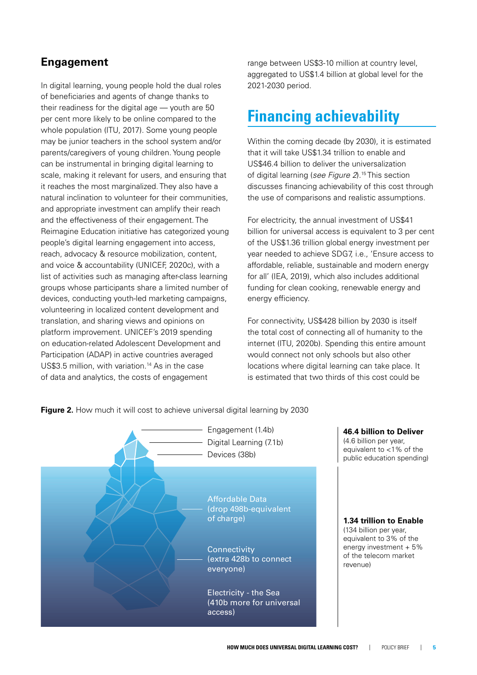#### **Engagement**

In digital learning, young people hold the dual roles of beneficiaries and agents of change thanks to their readiness for the digital age — youth are 50 per cent more likely to be online compared to the whole population (ITU, 2017). Some young people may be junior teachers in the school system and/or parents/caregivers of young children. Young people can be instrumental in bringing digital learning to scale, making it relevant for users, and ensuring that it reaches the most marginalized. They also have a natural inclination to volunteer for their communities, and appropriate investment can amplify their reach and the effectiveness of their engagement. The Reimagine Education initiative has categorized young people's digital learning engagement into access, reach, advocacy & resource mobilization, content, and voice & accountability (UNICEF, 2020c), with a list of activities such as managing after-class learning groups whose participants share a limited number of devices, conducting youth-led marketing campaigns, volunteering in localized content development and translation, and sharing views and opinions on platform improvement. UNICEF's 2019 spending on education-related Adolescent Development and Participation (ADAP) in active countries averaged US\$3.5 million, with variation.<sup>14</sup> As in the case of data and analytics, the costs of engagement

range between US\$3-10 million at country level, aggregated to US\$1.4 billion at global level for the 2021-2030 period.

### **Financing achievability**

Within the coming decade (by 2030), it is estimated that it will take US\$1.34 trillion to enable and US\$46.4 billion to deliver the universalization of digital learning (*see Figure 2*).15 This section discusses financing achievability of this cost through the use of comparisons and realistic assumptions.

For electricity, the annual investment of US\$41 billion for universal access is equivalent to 3 per cent of the US\$1.36 trillion global energy investment per year needed to achieve SDG7, i.e., 'Ensure access to affordable, reliable, sustainable and modern energy for all' (IEA, 2019), which also includes additional funding for clean cooking, renewable energy and energy efficiency.

For connectivity, US\$428 billion by 2030 is itself the total cost of connecting all of humanity to the internet (ITU, 2020b). Spending this entire amount would connect not only schools but also other locations where digital learning can take place. It is estimated that two thirds of this cost could be



**Figure 2.** How much it will cost to achieve universal digital learning by 2030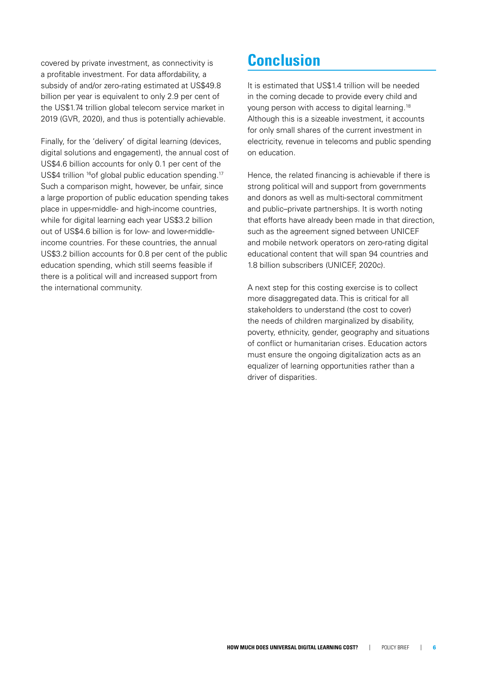covered by private investment, as connectivity is a profitable investment. For data affordability, a subsidy of and/or zero-rating estimated at US\$49.8 billion per year is equivalent to only 2.9 per cent of the US\$1.74 trillion global telecom service market in 2019 (GVR, 2020), and thus is potentially achievable.

Finally, for the 'delivery' of digital learning (devices, digital solutions and engagement), the annual cost of US\$4.6 billion accounts for only 0.1 per cent of the US\$4 trillion <sup>16</sup>of global public education spending.<sup>17</sup> Such a comparison might, however, be unfair, since a large proportion of public education spending takes place in upper-middle- and high-income countries, while for digital learning each year US\$3.2 billion out of US\$4.6 billion is for low- and lower-middleincome countries. For these countries, the annual US\$3.2 billion accounts for 0.8 per cent of the public education spending, which still seems feasible if there is a political will and increased support from the international community.

### **Conclusion**

It is estimated that US\$1.4 trillion will be needed in the coming decade to provide every child and young person with access to digital learning.18 Although this is a sizeable investment, it accounts for only small shares of the current investment in electricity, revenue in telecoms and public spending on education.

Hence, the related financing is achievable if there is strong political will and support from governments and donors as well as multi-sectoral commitment and public–private partnerships. It is worth noting that efforts have already been made in that direction, such as the agreement signed between UNICEF and mobile network operators on zero-rating digital educational content that will span 94 countries and 1.8 billion subscribers (UNICEF, 2020c).

A next step for this costing exercise is to collect more disaggregated data. This is critical for all stakeholders to understand (the cost to cover) the needs of children marginalized by disability, poverty, ethnicity, gender, geography and situations of conflict or humanitarian crises. Education actors must ensure the ongoing digitalization acts as an equalizer of learning opportunities rather than a driver of disparities.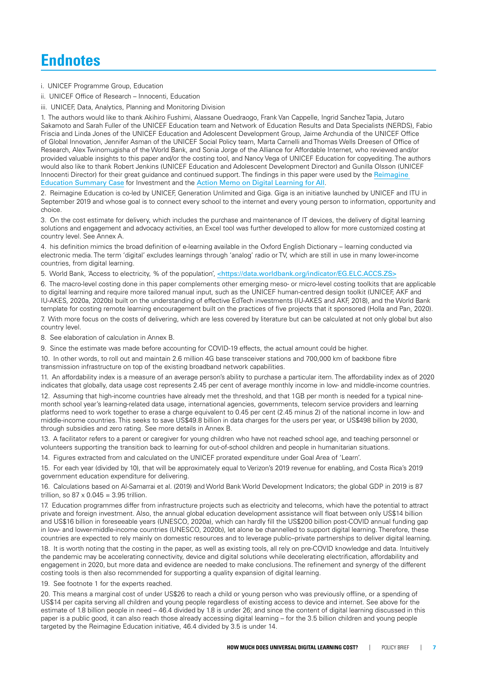### **Endnotes**

i. UNICEF Programme Group, Education

ii. UNICEF Office of Research – Innocenti, Education

iii. UNICEF, Data, Analytics, Planning and Monitoring Division

1. The authors would like to thank Akihiro Fushimi, Alassane Ouedraogo, Frank Van Cappelle, Ingrid Sanchez Tapia, Jutaro Sakamoto and Sarah Fuller of the UNICEF Education team and Network of Education Results and Data Specialists (NERDS), Fabio Friscia and Linda Jones of the UNICEF Education and Adolescent Development Group, Jaime Archundia of the UNICEF Office of Global Innovation, Jennifer Asman of the UNICEF Social Policy team, Marta Carnelli and Thomas Wells Dreesen of Office of Research, Alex Twinomugisha of the World Bank, and Sonia Jorge of the Alliance for Affordable Internet, who reviewed and/or provided valuable insights to this paper and/or the costing tool, and Nancy Vega of UNICEF Education for copyediting. The authors would also like to thank Robert Jenkins (UNICEF Education and Adolescent Development Director) and Gunilla Olsson (UNICEF Innocenti Director) for their great guidance and continued support. The findings in this paper were used by the [Reimagine](https://www.unicef.org/media/87296/file/Reimagine Education Summary Case for Investment-2020.pdf)  [Education Summary Case](https://www.unicef.org/media/87296/file/Reimagine Education Summary Case for Investment-2020.pdf) for Investment and the [Action Memo on Digital Learning for All](https://educationcommission.org/wp-content/uploads/2021/06/Background-Document4-Digital-Learning.pdf).

2. Reimagine Education is co-led by UNICEF, Generation Unlimited and Giga. Giga is an initiative launched by UNICEF and ITU in September 2019 and whose goal is to connect every school to the internet and every young person to information, opportunity and choice.

3. On the cost estimate for delivery, which includes the purchase and maintenance of IT devices, the delivery of digital learning solutions and engagement and advocacy activities, an Excel tool was further developed to allow for more customized costing at country level. See Annex A.

4. his definition mimics the broad definition of e-learning available in the Oxford English Dictionary – learning conducted via electronic media. The term 'digital' excludes learnings through 'analog' radio or TV, which are still in use in many lower-income countries, from digital learning.

5. World Bank, 'Access to electricity, % of the population', [<https://data.worldbank.org/indicator/EG.ELC.ACCS.ZS>](https://data.worldbank.org/indicator/EG.ELC.ACCS.ZS)

6. The macro-level costing done in this paper complements other emerging meso- or micro-level costing toolkits that are applicable to digital learning and require more tailored manual input, such as the UNICEF human-centred design toolkit (UNICEF, AKF and IU-AKES, 2020a, 2020b) built on the understanding of effective EdTech investments (IU-AKES and AKF, 2018), and the World Bank template for costing remote learning encouragement built on the practices of five projects that it sponsored (Holla and Pan, 2020).

7. With more focus on the costs of delivering, which are less covered by literature but can be calculated at not only global but also country level.

8. See elaboration of calculation in Annex B.

9. Since the estimate was made before accounting for COVID-19 effects, the actual amount could be higher.

10. In other words, to roll out and maintain 2.6 million 4G base transceiver stations and 700,000 km of backbone fibre transmission infrastructure on top of the existing broadband network capabilities.

11. An affordability index is a measure of an average person's ability to purchase a particular item. The affordability index as of 2020 indicates that globally, data usage cost represents 2.45 per cent of average monthly income in low- and middle-income countries.

12. Assuming that high-income countries have already met the threshold, and that 1GB per month is needed for a typical ninemonth school year's learning-related data usage, international agencies, governments, telecom service providers and learning platforms need to work together to erase a charge equivalent to 0.45 per cent (2.45 minus 2) of the national income in low- and middle-income countries. This seeks to save US\$49.8 billion in data charges for the users per year, or US\$498 billion by 2030, through subsidies and zero rating. See more details in Annex B.

13. A facilitator refers to a parent or caregiver for young children who have not reached school age, and teaching personnel or volunteers supporting the transition back to learning for out-of-school children and people in humanitarian situations.

14. Figures extracted from and calculated on the UNICEF prorated expenditure under Goal Area of 'Learn'.

15. For each year (divided by 10), that will be approximately equal to Verizon's 2019 revenue for enabling, and Costa Rica's 2019 government education expenditure for delivering.

16. Calculations based on Al-Samarrai et al. (2019) and World Bank World Development Indicators; the global GDP in 2019 is 87 trillion, so  $87 \times 0.045 = 3.95$  trillion.

17. Education programmes differ from infrastructure projects such as electricity and telecoms, which have the potential to attract private and foreign investment. Also, the annual global education development assistance will float between only US\$14 billion and US\$16 billion in foreseeable years (UNESCO, 2020a), which can hardly fill the US\$200 billion post-COVID annual funding gap in low- and lower-middle-income countries (UNESCO, 2020b), let alone be channelled to support digital learning. Therefore, these countries are expected to rely mainly on domestic resources and to leverage public–private partnerships to deliver digital learning.

18. It is worth noting that the costing in the paper, as well as existing tools, all rely on pre-COVID knowledge and data. Intuitively the pandemic may be accelerating connectivity, device and digital solutions while decelerating electrification, affordability and engagement in 2020, but more data and evidence are needed to make conclusions. The refinement and synergy of the different costing tools is then also recommended for supporting a quality expansion of digital learning.

19. See footnote 1 for the experts reached.

20. This means a marginal cost of under US\$26 to reach a child or young person who was previously offline, or a spending of US\$14 per capita serving all children and young people regardless of existing access to device and internet. See above for the estimate of 1.8 billion people in need – 46.4 divided by 1.8 is under 26; and since the content of digital learning discussed in this paper is a public good, it can also reach those already accessing digital learning – for the 3.5 billion children and young people targeted by the Reimagine Education initiative, 46.4 divided by 3.5 is under 14.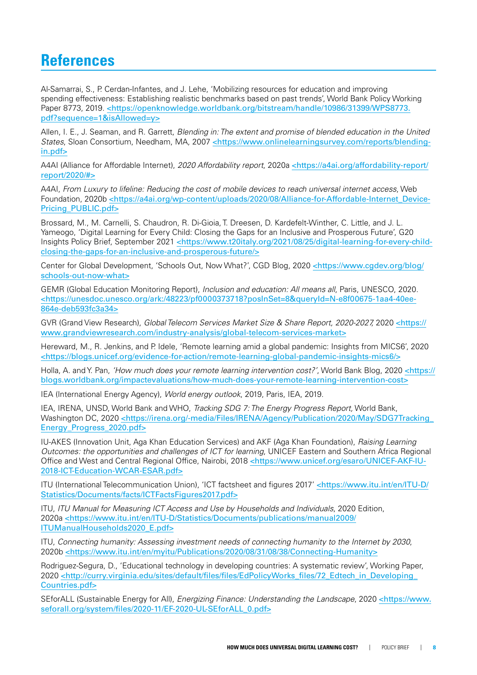### **References**

Al-Samarrai, S., P. Cerdan-Infantes, and J. Lehe, 'Mobilizing resources for education and improving spending effectiveness: Establishing realistic benchmarks based on past trends', World Bank Policy Working Paper 8773, 2019. [<https://openknowledge.worldbank.org/bitstream/handle/10986/31399/WPS8773.](https://openknowledge.worldbank.org/bitstream/handle/10986/31399/WPS8773.pdf?sequence=1&isAllowed=y) [pdf?sequence=1&isAllowed=y>](https://openknowledge.worldbank.org/bitstream/handle/10986/31399/WPS8773.pdf?sequence=1&isAllowed=y)

Allen, I. E., J. Seaman, and R. Garrett, *Blending in: The extent and promise of blended education in the United States*, Sloan Consortium, Needham, MA, 2007 [<https://www.onlinelearningsurvey.com/reports/blending](https://www.onlinelearningsurvey.com/reports/blending-in.pdf)[in.pdf](https://www.onlinelearningsurvey.com/reports/blending-in.pdf)>

A4AI (Alliance for Affordable Internet), *2020 Affordability report*, 2020a [<https://a4ai.org/affordability-report/](https://a4ai.org/affordability-report/report/2020/#) [report/2020/#](https://a4ai.org/affordability-report/report/2020/#)>

A4AI, *From Luxury to lifeline: Reducing the cost of mobile devices to reach universal internet access*, Web Foundation, 2020b [<https://a4ai.org/wp-content/uploads/2020/08/Alliance-for-Affordable-Internet\\_Device-](https://a4ai.org/wp-content/uploads/2020/08/Alliance-for-Affordable-Internet_Device-Pricing_PUBLIC.pdf)[Pricing\\_PUBLIC.pdf>](https://a4ai.org/wp-content/uploads/2020/08/Alliance-for-Affordable-Internet_Device-Pricing_PUBLIC.pdf)

Brossard, M., M. Carnelli, S. Chaudron, R. Di-Gioia, T. Dreesen, D. Kardefelt-Winther, C. Little, and J. L. Yameogo, 'Digital Learning for Every Child: Closing the Gaps for an Inclusive and Prosperous Future', G20 Insights Policy Brief, September 2021 [<https://www.t20italy.org/2021/08/25/digital-learning-for-every-child](https://www.t20italy.org/2021/08/25/digital-learning-for-every-child-closing-the-gaps-for-an-inclusive-and-prosperous-future/)[closing-the-gaps-for-an-inclusive-and-prosperous-future/>](https://www.t20italy.org/2021/08/25/digital-learning-for-every-child-closing-the-gaps-for-an-inclusive-and-prosperous-future/)

Center for Global Development, 'Schools Out, Now What?', CGD Blog, 2020 [<https://www.cgdev.org/blog/](https://www.cgdev.org/blog/schools-out-now-what) [schools-out-now-what>](https://www.cgdev.org/blog/schools-out-now-what)

GEMR (Global Education Monitoring Report), *Inclusion and education: All means all*, Paris, UNESCO, 2020. <[https://unesdoc.unesco.org/ark:](https://unesdoc.unesco.org/ark)/48223/pf0000373718?posInSet=8&queryId=N-e8f00675-1aa4-40ee-864e-deb593fc3a34>

GVR (Grand View Research), *Global Telecom Services Market Size & Share Report, 2020-2027,* 2020 [<https://](https://www.grandviewresearch.com/industry-analysis/global-telecom-services-market) [www.grandviewresearch.com/industry-analysis/global-telecom-services-market](https://www.grandviewresearch.com/industry-analysis/global-telecom-services-market)>

Hereward, M., R. Jenkins, and P. Idele, 'Remote learning amid a global pandemic: Insights from MICS6', 2020 <<https://blogs.unicef.org/evidence-for-action/remote-learning-global-pandemic-insights-mics6/>>

Holla, A. and Y. Pan, *'How much does your remote learning intervention cost?'*, World Bank Blog, 2020 [<https://](https://blogs.worldbank.org/impactevaluations/how-much-does-your-remote-learning-intervention-cost) [blogs.worldbank.org/impactevaluations/how-much-does-your-remote-learning-intervention-cost>](https://blogs.worldbank.org/impactevaluations/how-much-does-your-remote-learning-intervention-cost)

IEA (International Energy Agency), *World energy outlook*, 2019, Paris, IEA, 2019.

IEA, IRENA, UNSD, World Bank and WHO, *Tracking SDG 7: The Energy Progress Report,* World Bank, Washington DC, 2020 <https://irena.org/-media/Files/IRENA/Agency/Publication/2020/May/SDG7Tracking [Energy\\_Progress\\_2020.pdf](https://irena.org/-media/Files/IRENA/Agency/Publication/2020/May/SDG7Tracking_Energy_Progress_2020.pdf)>

IU-AKES (Innovation Unit, Aga Khan Education Services) and AKF (Aga Khan Foundation), *Raising Learning Outcomes: the opportunities and challenges of ICT for learning*, UNICEF Eastern and Southern Africa Regional Office and West and Central Regional Office, Nairobi, 2018 [<https://www.unicef.org/esaro/UNICEF-AKF-IU-](https://www.unicef.org/esaro/UNICEF-AKF-IU-2018-ICT-Education-WCAR-ESAR.pdf)[2018-ICT-Education-WCAR-ESAR.pdf](https://www.unicef.org/esaro/UNICEF-AKF-IU-2018-ICT-Education-WCAR-ESAR.pdf)>

ITU (International Telecommunication Union), 'ICT factsheet and figures 2017' [<https://www.itu.int/en/ITU-D/](https://www.itu.int/en/ITU-D/Statistics/Documents/facts/ICTFactsFigures2017.pdf) [Statistics/Documents/facts/ICTFactsFigures2017.pdf](https://www.itu.int/en/ITU-D/Statistics/Documents/facts/ICTFactsFigures2017.pdf)>

ITU, *ITU Manual for Measuring ICT Access and Use by Households and Individuals*, 2020 Edition, 2020a <[https://www.itu.int/en/ITU-D/Statistics/Documents/publications/manual2009/](https://www.itu.int/en/ITU-D/Statistics/Documents/publications/manual2009/ITUManualHouseholds2020_E.pdf) [ITUManualHouseholds2020\\_E.pdf](https://www.itu.int/en/ITU-D/Statistics/Documents/publications/manual2009/ITUManualHouseholds2020_E.pdf)>

ITU, *Connecting humanity: Assessing investment needs of connecting humanity to the Internet by 2030*, 2020b [<https://www.itu.int/en/myitu/Publications/2020/08/31/08/38/Connecting-Humanity>](https://www.itu.int/en/myitu/Publications/2020/08/31/08/38/Connecting-Humanity)

Rodriguez-Segura, D., 'Educational technology in developing countries: A systematic review', Working Paper, 2020 <[http://curry.virginia.edu/sites/default/files/files/EdPolicyWorks\\_files/72\\_Edtech\\_in\\_Developing\\_](http://curry.virginia.edu/sites/default/files/files/EdPolicyWorks_files/72_Edtech_in_Developing_Countries.pdf) [Countries.pdf>](http://curry.virginia.edu/sites/default/files/files/EdPolicyWorks_files/72_Edtech_in_Developing_Countries.pdf)

SEforALL (Sustainable Energy for All), *Energizing Finance: Understanding the Landscape*, 2020 <[https://www.](https://www.seforall.org/system/files/2020-11/EF-2020-UL-SEforALL_0.pdf) [seforall.org/system/files/2020-11/EF-2020-UL-SEforALL\\_0.pdf>](https://www.seforall.org/system/files/2020-11/EF-2020-UL-SEforALL_0.pdf)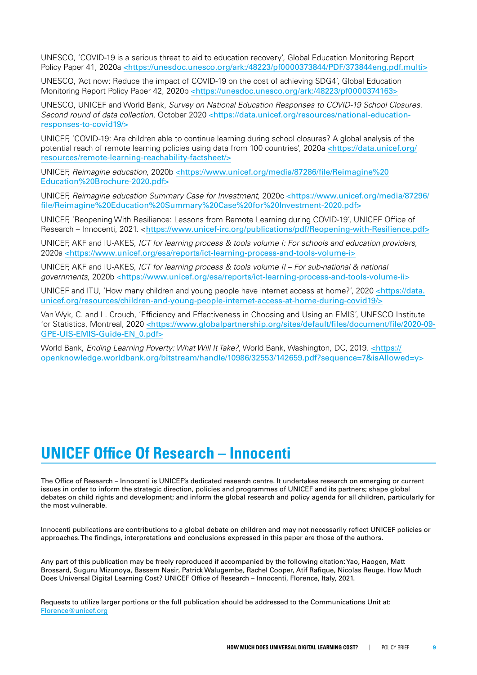UNESCO, 'COVID-19 is a serious threat to aid to education recovery', Global Education Monitoring Report Policy Paper 41, 2020a <[https://unesdoc.unesco.org/ark:](https://unesdoc.unesco.org/ark)/48223/pf0000373844/PDF/373844eng.pdf.multi>

UNESCO, 'Act now: Reduce the impact of COVID-19 on the cost of achieving SDG4', Global Education Monitoring Report Policy Paper 42, 2020b [<https://unesdoc.unesco.org/ark:](https://unesdoc.unesco.org/ark)/48223/pf0000374163>

UNESCO, UNICEF and World Bank, *Survey on National Education Responses to COVID-19 School Closures.*  Second round of data collection, October 2020 <[https://data.unicef.org/resources/national-education](https://data.unicef.org/resources/national-education-responses-to-covid19/)[responses-to-covid19/](https://data.unicef.org/resources/national-education-responses-to-covid19/)>

UNICEF, 'COVID-19: Are children able to continue learning during school closures? A global analysis of the potential reach of remote learning policies using data from 100 countries', 2020a <[https://data.unicef.org/](https://data.unicef.org/resources/remote-learning-reachability-factsheet/) [resources/remote-learning-reachability-factsheet/>](https://data.unicef.org/resources/remote-learning-reachability-factsheet/)

UNICEF, *Reimagine education*, 2020b [<https://www.unicef.org/media/87286/file/Reimagine%20](https://www.unicef.org/media/87286/file/Reimagine%20Education%20Brochure-2020.pdf) [Education%20Brochure-2020.pdf>](https://www.unicef.org/media/87286/file/Reimagine%20Education%20Brochure-2020.pdf)

UNICEF, *Reimagine education Summary Case for Investment*, 2020c [<https://www.unicef.org/media/87296/](https://www.unicef.org/media/87296/file/Reimagine%20Education%20Summary%20Case%20for%20Investment-2020.pdf) [file/Reimagine%20Education%20Summary%20Case%20for%20Investment-2020.pdf](https://www.unicef.org/media/87296/file/Reimagine%20Education%20Summary%20Case%20for%20Investment-2020.pdf)>

UNICEF, 'Reopening With Resilience: Lessons from Remote Learning during COVID-19', UNICEF Office of Research – Innocenti, 2021. <<https://www.unicef-irc.org/publications/pdf/Reopening-with-Resilience.pdf>>

UNICEF, AKF and IU-AKES, *ICT for learning process & tools volume I: For schools and education providers*, 2020a <<https://www.unicef.org/esa/reports/ict-learning-process-and-tools-volume-i>>

UNICEF, AKF and IU-AKES, *ICT for learning process & tools volume II – For sub-national & national governments*, 2020b <<https://www.unicef.org/esa/reports/ict-learning-process-and-tools-volume-ii>>

UNICEF and ITU, 'How many children and young people have internet access at home?', 2020 [<https://data.](https://data.unicef.org/resources/children-and-young-people-internet-access-at-home-during-covid19/) [unicef.org/resources/children-and-young-people-internet-access-at-home-during-covid19/>](https://data.unicef.org/resources/children-and-young-people-internet-access-at-home-during-covid19/)

Van Wyk, C. and L. Crouch, 'Efficiency and Effectiveness in Choosing and Using an EMIS', UNESCO Institute for Statistics, Montreal, 2020 <[https://www.globalpartnership.org/sites/default/files/document/file/2020-09-](https://www.globalpartnership.org/sites/default/files/document/file/2020-09-GPE-UIS-EMIS-Guide-EN_0.pdf) [GPE-UIS-EMIS-Guide-EN\\_0.pdf>](https://www.globalpartnership.org/sites/default/files/document/file/2020-09-GPE-UIS-EMIS-Guide-EN_0.pdf)

World Bank, *Ending Learning Poverty: What Will It Take?*, World Bank, Washington, DC, 2019. [<https://](https://openknowledge.worldbank.org/bitstream/handle/10986/32553/142659.pdf?sequence=7&isAllowed=y) [openknowledge.worldbank.org/bitstream/handle/10986/32553/142659.pdf?sequence=7&isAllowed=y](https://openknowledge.worldbank.org/bitstream/handle/10986/32553/142659.pdf?sequence=7&isAllowed=y)>

### **UNICEF Office Of Research – Innocenti**

The Office of Research – Innocenti is UNICEF's dedicated research centre. It undertakes research on emerging or current issues in order to inform the strategic direction, policies and programmes of UNICEF and its partners; shape global debates on child rights and development; and inform the global research and policy agenda for all children, particularly for the most vulnerable.

Innocenti publications are contributions to a global debate on children and may not necessarily reflect UNICEF policies or approaches. The findings, interpretations and conclusions expressed in this paper are those of the authors.

Any part of this publication may be freely reproduced if accompanied by the following citation: Yao, Haogen, Matt Brossard, Suguru Mizunoya, Bassem Nasir, Patrick Walugembe, Rachel Cooper, Atif Rafique, Nicolas Reuge. How Much Does Universal Digital Learning Cost? UNICEF Office of Research – Innocenti, Florence, Italy, 2021.

Requests to utilize larger portions or the full publication should be addressed to the Communications Unit at: Florence@unicef.org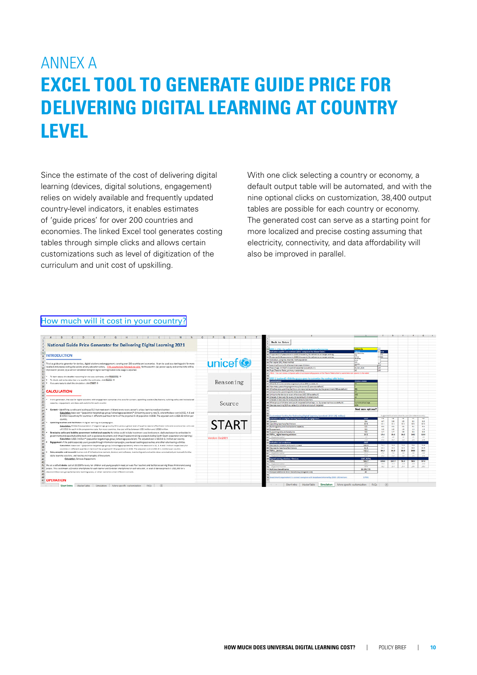# ANNEX A **EXCEL TOOL TO GENERATE GUIDE PRICE FOR DELIVERING DIGITAL LEARNING AT COUNTRY LEVEL**

Since the estimate of the cost of delivering digital learning (devices, digital solutions, engagement) relies on widely available and frequently updated country-level indicators, it enables estimates of 'guide prices' for over 200 countries and economies. The linked Excel tool generates costing tables through simple clicks and allows certain customizations such as level of digitization of the curriculum and unit cost of upskilling.

With one click selecting a country or economy, a default output table will be automated, and with the nine optional clicks on customization, 38,400 output tables are possible for each country or economy. The generated cost can serve as a starting point for more localized and precise costing assuming that electricity, connectivity, and data affordability will also be improved in parallel.

#### [How much will it cost in your country?](https://www.unicef-irc.org/publications/pdf/Digital-learning-cost-excel-tool.xlsm)

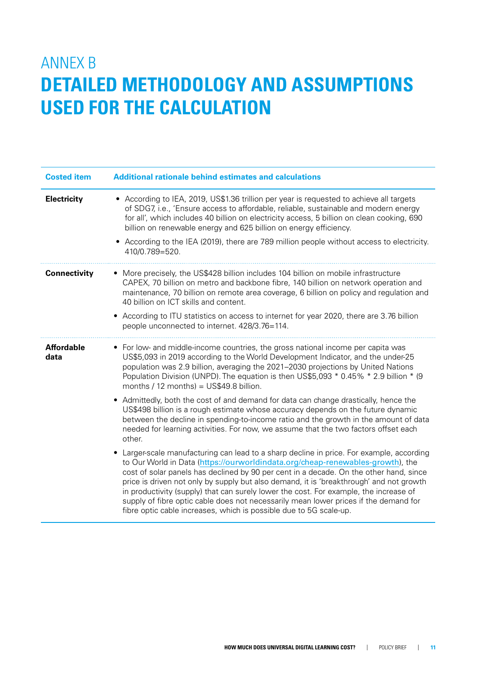# ANNEX B **DETAILED METHODOLOGY AND ASSUMPTIONS USED FOR THE CALCULATION**

| <b>Costed item</b>        | <b>Additional rationale behind estimates and calculations</b>                                                                                                                                                                                                                                                                                                                                                                                                                                                                                                                                                                                                                                                                                                                                                                                                                                                                                                                                                                                                                                                                                                                                                                                                                                                                                                                              |  |  |  |
|---------------------------|--------------------------------------------------------------------------------------------------------------------------------------------------------------------------------------------------------------------------------------------------------------------------------------------------------------------------------------------------------------------------------------------------------------------------------------------------------------------------------------------------------------------------------------------------------------------------------------------------------------------------------------------------------------------------------------------------------------------------------------------------------------------------------------------------------------------------------------------------------------------------------------------------------------------------------------------------------------------------------------------------------------------------------------------------------------------------------------------------------------------------------------------------------------------------------------------------------------------------------------------------------------------------------------------------------------------------------------------------------------------------------------------|--|--|--|
| <b>Electricity</b>        | • According to IEA, 2019, US\$1.36 trillion per year is requested to achieve all targets<br>of SDG7, i.e., 'Ensure access to affordable, reliable, sustainable and modern energy<br>for all', which includes 40 billion on electricity access, 5 billion on clean cooking, 690<br>billion on renewable energy and 625 billion on energy efficiency.<br>• According to the IEA (2019), there are 789 million people without access to electricity.<br>410/0.789=520.                                                                                                                                                                                                                                                                                                                                                                                                                                                                                                                                                                                                                                                                                                                                                                                                                                                                                                                        |  |  |  |
| <b>Connectivity</b>       | • More precisely, the US\$428 billion includes 104 billion on mobile infrastructure<br>CAPEX, 70 billion on metro and backbone fibre, 140 billion on network operation and<br>maintenance, 70 billion on remote area coverage, 6 billion on policy and regulation and<br>40 billion on ICT skills and content.<br>• According to ITU statistics on access to internet for year 2020, there are 3.76 billion<br>people unconnected to internet. 428/3.76=114.                                                                                                                                                                                                                                                                                                                                                                                                                                                                                                                                                                                                                                                                                                                                                                                                                                                                                                                               |  |  |  |
| <b>Affordable</b><br>data | • For low- and middle-income countries, the gross national income per capita was<br>US\$5,093 in 2019 according to the World Development Indicator, and the under-25<br>population was 2.9 billion, averaging the 2021-2030 projections by United Nations<br>Population Division (UNPD). The equation is then US\$5,093 * 0.45% * 2.9 billion * (9<br>months / 12 months) = $US$49.8$ billion.<br>Admittedly, both the cost of and demand for data can change drastically, hence the<br>US\$498 billion is a rough estimate whose accuracy depends on the future dynamic<br>between the decline in spending-to-income ratio and the growth in the amount of data<br>needed for learning activities. For now, we assume that the two factors offset each<br>other.<br>Larger-scale manufacturing can lead to a sharp decline in price. For example, according<br>to Our World in Data (https://ourworldindata.org/cheap-renewables-growth), the<br>cost of solar panels has declined by 90 per cent in a decade. On the other hand, since<br>price is driven not only by supply but also demand, it is 'breakthrough' and not growth<br>in productivity (supply) that can surely lower the cost. For example, the increase of<br>supply of fibre optic cable does not necessarily mean lower prices if the demand for<br>fibre optic cable increases, which is possible due to 5G scale-up. |  |  |  |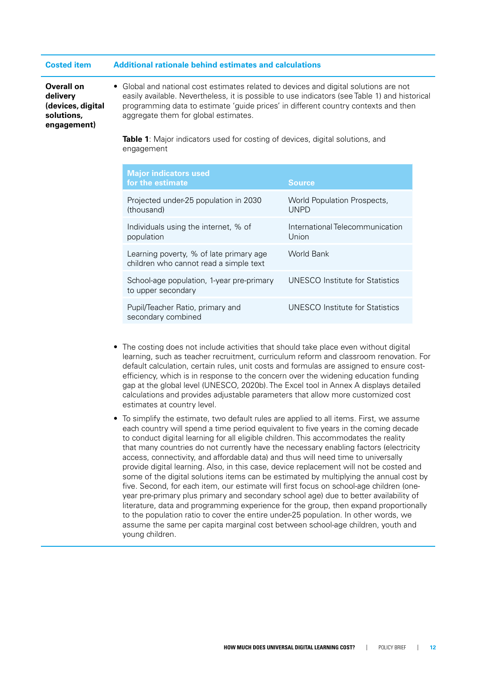#### **Costed item Additional rationale behind estimates and calculations**

**Overall on delivery (devices, digital solutions, engagement)**

• Global and national cost estimates related to devices and digital solutions are not easily available. Nevertheless, it is possible to use indicators (see Table 1) and historical programming data to estimate 'guide prices' in different country contexts and then aggregate them for global estimates.

**Table 1**: Major indicators used for costing of devices, digital solutions, and engagement

| <b>Major indicators used</b><br>for the estimate                                  | <b>Source</b>                              |
|-----------------------------------------------------------------------------------|--------------------------------------------|
| Projected under-25 population in 2030<br>(thousand)                               | World Population Prospects,<br><b>UNPD</b> |
| Individuals using the internet, % of<br>population                                | International Telecommunication<br>Union   |
| Learning poverty, % of late primary age<br>children who cannot read a simple text | World Bank                                 |
| School-age population, 1-year pre-primary<br>to upper secondary                   | UNESCO Institute for Statistics            |
| Pupil/Teacher Ratio, primary and<br>secondary combined                            | UNESCO Institute for Statistics            |

- The costing does not include activities that should take place even without digital learning, such as teacher recruitment, curriculum reform and classroom renovation. For default calculation, certain rules, unit costs and formulas are assigned to ensure costefficiency, which is in response to the concern over the widening education funding gap at the global level (UNESCO, 2020b). The Excel tool in Annex A displays detailed calculations and provides adjustable parameters that allow more customized cost estimates at country level.
- To simplify the estimate, two default rules are applied to all items. First, we assume each country will spend a time period equivalent to five years in the coming decade to conduct digital learning for all eligible children. This accommodates the reality that many countries do not currently have the necessary enabling factors (electricity access, connectivity, and affordable data) and thus will need time to universally provide digital learning. Also, in this case, device replacement will not be costed and some of the digital solutions items can be estimated by multiplying the annual cost by five. Second, for each item, our estimate will first focus on school-age children (oneyear pre-primary plus primary and secondary school age) due to better availability of literature, data and programming experience for the group, then expand proportionally to the population ratio to cover the entire under-25 population. In other words, we assume the same per capita marginal cost between school-age children, youth and young children.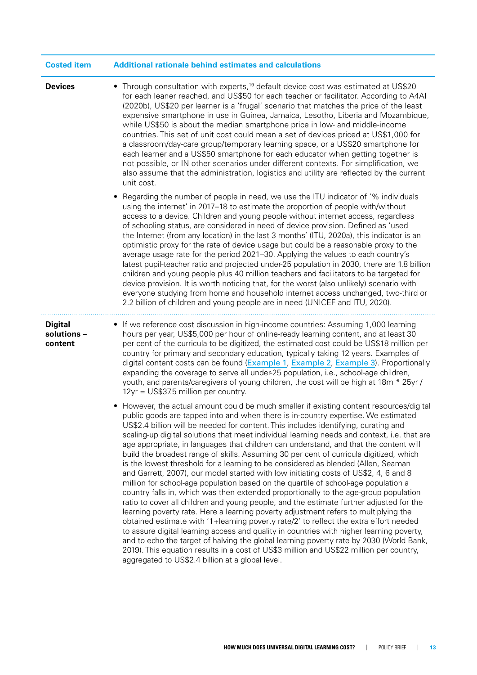| <b>Costed item</b>                       | <b>Additional rationale behind estimates and calculations</b>                                                                                                                                                                                                                                                                                                                                                                                                                                                                                                                                                                                                                                                                                                                                                                                                                                                                                                                                                                                                                                                                                                                                                                                                                                                                                                                                                                                                                  |  |  |  |
|------------------------------------------|--------------------------------------------------------------------------------------------------------------------------------------------------------------------------------------------------------------------------------------------------------------------------------------------------------------------------------------------------------------------------------------------------------------------------------------------------------------------------------------------------------------------------------------------------------------------------------------------------------------------------------------------------------------------------------------------------------------------------------------------------------------------------------------------------------------------------------------------------------------------------------------------------------------------------------------------------------------------------------------------------------------------------------------------------------------------------------------------------------------------------------------------------------------------------------------------------------------------------------------------------------------------------------------------------------------------------------------------------------------------------------------------------------------------------------------------------------------------------------|--|--|--|
| <b>Devices</b>                           | • Through consultation with experts, <sup>19</sup> default device cost was estimated at US\$20<br>for each leaner reached, and US\$50 for each teacher or facilitator. According to A4AI<br>(2020b), US\$20 per learner is a 'frugal' scenario that matches the price of the least<br>expensive smartphone in use in Guinea, Jamaica, Lesotho, Liberia and Mozambique,<br>while US\$50 is about the median smartphone price in low- and middle-income<br>countries. This set of unit cost could mean a set of devices priced at US\$1,000 for<br>a classroom/day-care group/temporary learning space, or a US\$20 smartphone for<br>each learner and a US\$50 smartphone for each educator when getting together is<br>not possible, or IN other scenarios under different contexts. For simplification, we<br>also assume that the administration, logistics and utility are reflected by the current<br>unit cost.                                                                                                                                                                                                                                                                                                                                                                                                                                                                                                                                                           |  |  |  |
|                                          | Regarding the number of people in need, we use the ITU indicator of '% individuals<br>٠<br>using the internet' in 2017-18 to estimate the proportion of people with/without<br>access to a device. Children and young people without internet access, regardless<br>of schooling status, are considered in need of device provision. Defined as 'used<br>the Internet (from any location) in the last 3 months' (ITU, 2020a), this indicator is an<br>optimistic proxy for the rate of device usage but could be a reasonable proxy to the<br>average usage rate for the period 2021-30. Applying the values to each country's<br>latest pupil-teacher ratio and projected under-25 population in 2030, there are 1.8 billion<br>children and young people plus 40 million teachers and facilitators to be targeted for<br>device provision. It is worth noticing that, for the worst (also unlikely) scenario with<br>everyone studying from home and household internet access unchanged, two-third or<br>2.2 billion of children and young people are in need (UNICEF and ITU, 2020).                                                                                                                                                                                                                                                                                                                                                                                       |  |  |  |
| <b>Digital</b><br>solutions -<br>content | • If we reference cost discussion in high-income countries: Assuming 1,000 learning<br>hours per year, US\$5,000 per hour of online-ready learning content, and at least 30<br>per cent of the curricula to be digitized, the estimated cost could be US\$18 million per<br>country for primary and secondary education, typically taking 12 years. Examples of<br>digital content costs can be found (Example 1, Example 2, Example 3). Proportionally<br>expanding the coverage to serve all under-25 population, i.e., school-age children,<br>youth, and parents/caregivers of young children, the cost will be high at 18m * 25yr /<br>12yr = US\$37.5 million per country.                                                                                                                                                                                                                                                                                                                                                                                                                                                                                                                                                                                                                                                                                                                                                                                               |  |  |  |
|                                          | • However, the actual amount could be much smaller if existing content resources/digital<br>public goods are tapped into and when there is in-country expertise. We estimated<br>US\$2.4 billion will be needed for content. This includes identifying, curating and<br>scaling-up digital solutions that meet individual learning needs and context, i.e. that are<br>age appropriate, in languages that children can understand, and that the content will<br>build the broadest range of skills. Assuming 30 per cent of curricula digitized, which<br>is the lowest threshold for a learning to be considered as blended (Allen, Seaman<br>and Garrett, 2007), our model started with low initiating costs of US\$2, 4, 6 and 8<br>million for school-age population based on the quartile of school-age population a<br>country falls in, which was then extended proportionally to the age-group population<br>ratio to cover all children and young people, and the estimate further adjusted for the<br>learning poverty rate. Here a learning poverty adjustment refers to multiplying the<br>obtained estimate with '1+learning poverty rate/2' to reflect the extra effort needed<br>to assure digital learning access and quality in countries with higher learning poverty,<br>and to echo the target of halving the global learning poverty rate by 2030 (World Bank,<br>2019). This equation results in a cost of US\$3 million and US\$22 million per country, |  |  |  |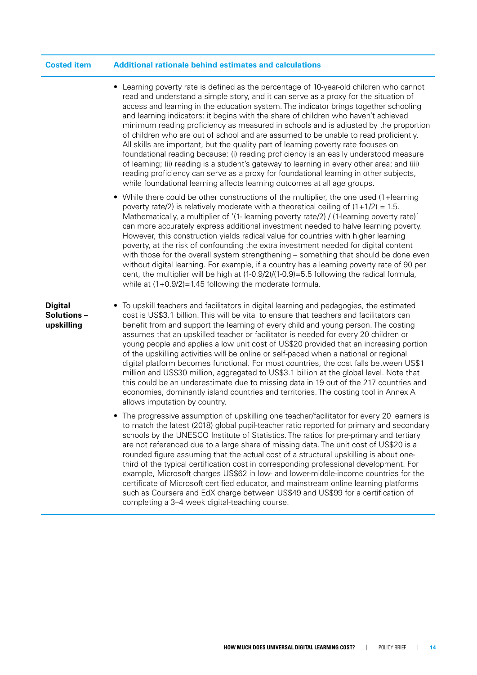#### **Costed item Additional rationale behind estimates and calculations**

- Learning poverty rate is defined as the percentage of 10-year-old children who cannot read and understand a simple story, and it can serve as a proxy for the situation of access and learning in the education system. The indicator brings together schooling and learning indicators: it begins with the share of children who haven't achieved minimum reading proficiency as measured in schools and is adjusted by the proportion of children who are out of school and are assumed to be unable to read proficiently. All skills are important, but the quality part of learning poverty rate focuses on foundational reading because: (i) reading proficiency is an easily understood measure of learning; (ii) reading is a student's gateway to learning in every other area; and (iii) reading proficiency can serve as a proxy for foundational learning in other subjects, while foundational learning affects learning outcomes at all age groups.
- While there could be other constructions of the multiplier, the one used (1+learning poverty rate/2) is relatively moderate with a theoretical ceiling of  $(1+1/2) = 1.5$ . Mathematically, a multiplier of '(1- learning poverty rate/2) / (1-learning poverty rate)' can more accurately express additional investment needed to halve learning poverty. However, this construction yields radical value for countries with higher learning poverty, at the risk of confounding the extra investment needed for digital content with those for the overall system strengthening – something that should be done even without digital learning. For example, if a country has a learning poverty rate of 90 per cent, the multiplier will be high at (1-0.9/2)/(1-0.9)=5.5 following the radical formula, while at  $(1+0.9/2)=1.45$  following the moderate formula.

#### **Digital Solutions – upskilling**

- To upskill teachers and facilitators in digital learning and pedagogies, the estimated cost is US\$3.1 billion. This will be vital to ensure that teachers and facilitators can benefit from and support the learning of every child and young person. The costing assumes that an upskilled teacher or facilitator is needed for every 20 children or young people and applies a low unit cost of US\$20 provided that an increasing portion of the upskilling activities will be online or self-paced when a national or regional digital platform becomes functional. For most countries, the cost falls between US\$1 million and US\$30 million, aggregated to US\$3.1 billion at the global level. Note that this could be an underestimate due to missing data in 19 out of the 217 countries and economies, dominantly island countries and territories. The costing tool in Annex A allows imputation by country.
- The progressive assumption of upskilling one teacher/facilitator for every 20 learners is to match the latest (2018) global pupil-teacher ratio reported for primary and secondary schools by the UNESCO Institute of Statistics. The ratios for pre-primary and tertiary are not referenced due to a large share of missing data. The unit cost of US\$20 is a rounded figure assuming that the actual cost of a structural upskilling is about onethird of the typical certification cost in corresponding professional development. For example, Microsoft charges US\$62 in low- and lower-middle-income countries for the certificate of Microsoft certified educator, and mainstream online learning platforms such as Coursera and EdX charge between US\$49 and US\$99 for a certification of completing a 3–4 week digital-teaching course.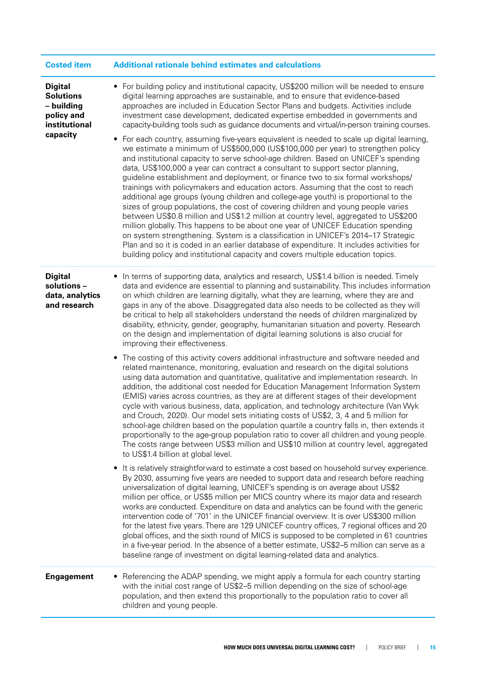| <b>Costed item</b>                                                                          | <b>Additional rationale behind estimates and calculations</b>                                                                                                                                                                                                                                                                                                                                                                                                                                                                                                                                                                                                                                                                                                                                                                                                                                                                                                              |  |  |  |
|---------------------------------------------------------------------------------------------|----------------------------------------------------------------------------------------------------------------------------------------------------------------------------------------------------------------------------------------------------------------------------------------------------------------------------------------------------------------------------------------------------------------------------------------------------------------------------------------------------------------------------------------------------------------------------------------------------------------------------------------------------------------------------------------------------------------------------------------------------------------------------------------------------------------------------------------------------------------------------------------------------------------------------------------------------------------------------|--|--|--|
| <b>Digital</b><br><b>Solutions</b><br>- building<br>policy and<br>institutional<br>capacity | • For building policy and institutional capacity, US\$200 million will be needed to ensure<br>digital learning approaches are sustainable, and to ensure that evidence-based<br>approaches are included in Education Sector Plans and budgets. Activities include<br>investment case development, dedicated expertise embedded in governments and<br>capacity-building tools such as guidance documents and virtual/in-person training courses.<br>For each country, assuming five-years equivalent is needed to scale up digital learning,<br>we estimate a minimum of US\$500,000 (US\$100,000 per year) to strengthen policy                                                                                                                                                                                                                                                                                                                                            |  |  |  |
|                                                                                             | and institutional capacity to serve school-age children. Based on UNICEF's spending<br>data, US\$100,000 a year can contract a consultant to support sector planning,<br>guideline establishment and deployment, or finance two to six formal workshops/<br>trainings with policymakers and education actors. Assuming that the cost to reach<br>additional age groups (young children and college-age youth) is proportional to the<br>sizes of group populations, the cost of covering children and young people varies<br>between US\$0.8 million and US\$1.2 million at country level, aggregated to US\$200<br>million globally. This happens to be about one year of UNICEF Education spending<br>on system strengthening. System is a classification in UNICEF's 2014-17 Strategic<br>Plan and so it is coded in an earlier database of expenditure. It includes activities for<br>building policy and institutional capacity and covers multiple education topics. |  |  |  |
| <b>Digital</b><br>solutions -<br>data, analytics<br>and research                            | • In terms of supporting data, analytics and research, US\$1.4 billion is needed. Timely<br>data and evidence are essential to planning and sustainability. This includes information<br>on which children are learning digitally, what they are learning, where they are and<br>gaps in any of the above. Disaggregated data also needs to be collected as they will<br>be critical to help all stakeholders understand the needs of children marginalized by<br>disability, ethnicity, gender, geography, humanitarian situation and poverty. Research<br>on the design and implementation of digital learning solutions is also crucial for<br>improving their effectiveness.                                                                                                                                                                                                                                                                                           |  |  |  |
|                                                                                             | The costing of this activity covers additional infrastructure and software needed and<br>٠<br>related maintenance, monitoring, evaluation and research on the digital solutions<br>using data automation and quantitative, qualitative and implementation research. In<br>addition, the additional cost needed for Education Management Information System<br>(EMIS) varies across countries, as they are at different stages of their development<br>cycle with various business, data, application, and technology architecture (Van Wyk<br>and Crouch, 2020). Our model sets initiating costs of US\$2, 3, 4 and 5 million for<br>school-age children based on the population quartile a country falls in, then extends it<br>proportionally to the age-group population ratio to cover all children and young people.<br>The costs range between US\$3 million and US\$10 million at country level, aggregated<br>to US\$1.4 billion at global level.                  |  |  |  |
|                                                                                             | It is relatively straightforward to estimate a cost based on household survey experience.<br>By 2030, assuming five years are needed to support data and research before reaching<br>universalization of digital learning, UNICEF's spending is on average about US\$2<br>million per office, or US\$5 million per MICS country where its major data and research<br>works are conducted. Expenditure on data and analytics can be found with the generic<br>intervention code of '701' in the UNICEF financial overview. It is over US\$300 million<br>for the latest five years. There are 129 UNICEF country offices, 7 regional offices and 20<br>global offices, and the sixth round of MICS is supposed to be completed in 61 countries<br>in a five-year period. In the absence of a better estimate, US\$2-5 million can serve as a<br>baseline range of investment on digital learning-related data and analytics.                                                |  |  |  |
| <b>Engagement</b>                                                                           | • Referencing the ADAP spending, we might apply a formula for each country starting<br>with the initial cost range of US\$2-5 million depending on the size of school-age<br>population, and then extend this proportionally to the population ratio to cover all<br>children and young people.                                                                                                                                                                                                                                                                                                                                                                                                                                                                                                                                                                                                                                                                            |  |  |  |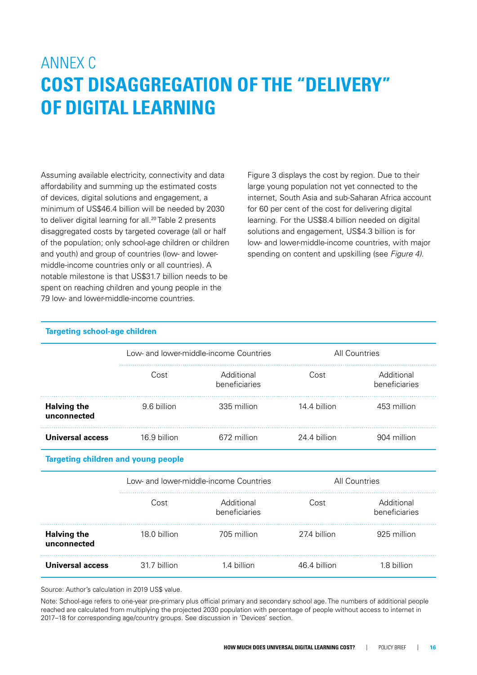# ANNEX C **COST DISAGGREGATION OF THE "DELIVERY" OF DIGITAL LEARNING**

Assuming available electricity, connectivity and data affordability and summing up the estimated costs of devices, digital solutions and engagement, a minimum of US\$46.4 billion will be needed by 2030 to deliver digital learning for all.<sup>20</sup> Table 2 presents disaggregated costs by targeted coverage (all or half of the population; only school-age children or children and youth) and group of countries (low- and lowermiddle-income countries only or all countries). A notable milestone is that US\$31.7 billion needs to be spent on reaching children and young people in the 79 low- and lower-middle-income countries.

**Targeting school-age children**

Figure 3 displays the cost by region. Due to their large young population not yet connected to the internet, South Asia and sub-Saharan Africa account for 60 per cent of the cost for delivering digital learning. For the US\$8.4 billion needed on digital solutions and engagement, US\$4.3 billion is for low- and lower-middle-income countries, with major spending on content and upskilling (see *Figure 4)*.

|                                   | Low- and lower-middle-income Countries |                             | <b>All Countries</b> |                             |
|-----------------------------------|----------------------------------------|-----------------------------|----------------------|-----------------------------|
|                                   | Cost                                   | Additional<br>beneficiaries | Cost                 | Additional<br>beneficiaries |
| <b>Halving the</b><br>unconnected | 9.6 billion                            | 335 million                 | 14.4 billion         | 453 million                 |
| <b>Universal access</b>           | 16.9 billion                           | 672 million                 | 24.4 billion         | 904 million                 |

|                                   | Low- and lower-middle-income Countries |                             | All Countries |                             |
|-----------------------------------|----------------------------------------|-----------------------------|---------------|-----------------------------|
|                                   | Cost                                   | Additional<br>beneficiaries | Cost          | Additional<br>beneficiaries |
| <b>Halving the</b><br>unconnected | 18.0 billion                           | 705 million                 | 27.4 billion  | 925 million                 |
| Universal access                  | 31.7 billion                           | 1.4 billion                 | 46.4 billion  | 1.8 billion                 |

Source: Author's calculation in 2019 US\$ value.

Note: School-age refers to one-year pre-primary plus official primary and secondary school age. The numbers of additional people reached are calculated from multiplying the projected 2030 population with percentage of people without access to internet in 2017–18 for corresponding age/country groups. See discussion in 'Devices' section.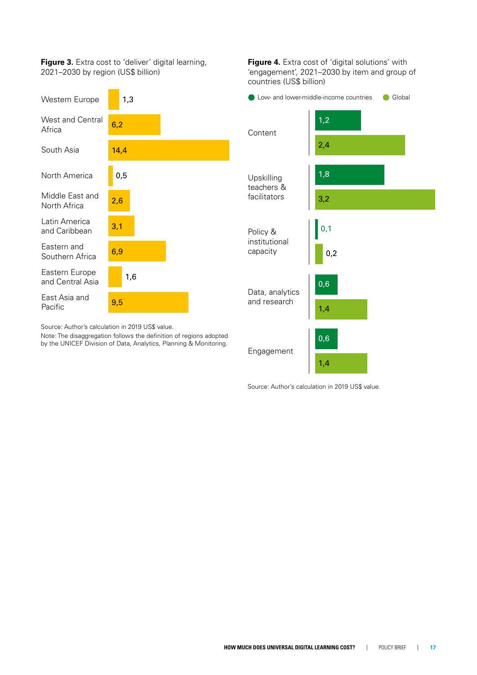**Figure 3.** Extra cost to 'deliver' digital learning, 2021–2030 by region (US\$ billion)



**Figure 4.** Extra cost of 'digital solutions' with 'engagement', 2021–2030 by item and group of countries (US\$ billion)



Source: Author's calculation in 2019 US\$ value.

Source: Author's calculation in 2019 US\$ value.

Note: The disaggregation follows the definition of regions adopted by the UNICEF Division of Data, Analytics, Planning & Monitoring.